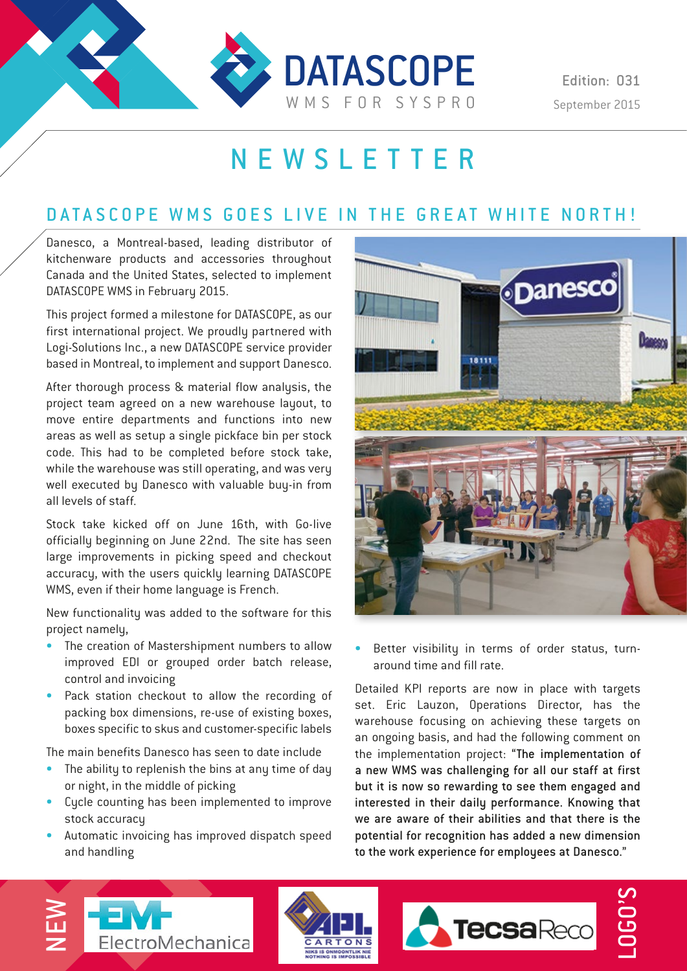

Edition: 031

# NEWSLETTER

### DATASCOPE WMS GOES LIVE IN THE GREAT WHITE NORTH!

Danesco, a Montreal-based, leading distributor of kitchenware products and accessories throughout Canada and the United States, selected to implement DATASCOPE WMS in February 2015.

This project formed a milestone for DATASCOPE, as our first international project. We proudly partnered with Logi-Solutions Inc., a new DATASCOPE service provider based in Montreal, to implement and support Danesco.

After thorough process & material flow analysis, the project team agreed on a new warehouse layout, to move entire departments and functions into new areas as well as setup a single pickface bin per stock code. This had to be completed before stock take, while the warehouse was still operating, and was very well executed by Danesco with valuable buy-in from all levels of staff.

Stock take kicked off on June 16th, with Go-live officially beginning on June 22nd. The site has seen large improvements in picking speed and checkout accuracy, with the users quickly learning DATASCOPE WMS, even if their home language is French.

New functionality was added to the software for this project namely,

- The creation of Mastershipment numbers to allow improved EDI or grouped order batch release, control and invoicing
- Pack station checkout to allow the recording of packing box dimensions, re-use of existing boxes, boxes specific to skus and customer-specific labels

The main benefits Danesco has seen to date include

- The ability to replenish the bins at any time of day or night, in the middle of picking
- Cycle counting has been implemented to improve stock accuracy
- Automatic invoicing has improved dispatch speed and handling



Better visibility in terms of order status, turnaround time and fill rate.

Detailed KPI reports are now in place with targets set. Eric Lauzon, Operations Director, has the warehouse focusing on achieving these targets on an ongoing basis, and had the following comment on the implementation project: "The implementation of a new WMS was challenging for all our staff at first but it is now so rewarding to see them engaged and interested in their daily performance. Knowing that we are aware of their abilities and that there is the potential for recognition has added a new dimension to the work experience for employees at Danesco."





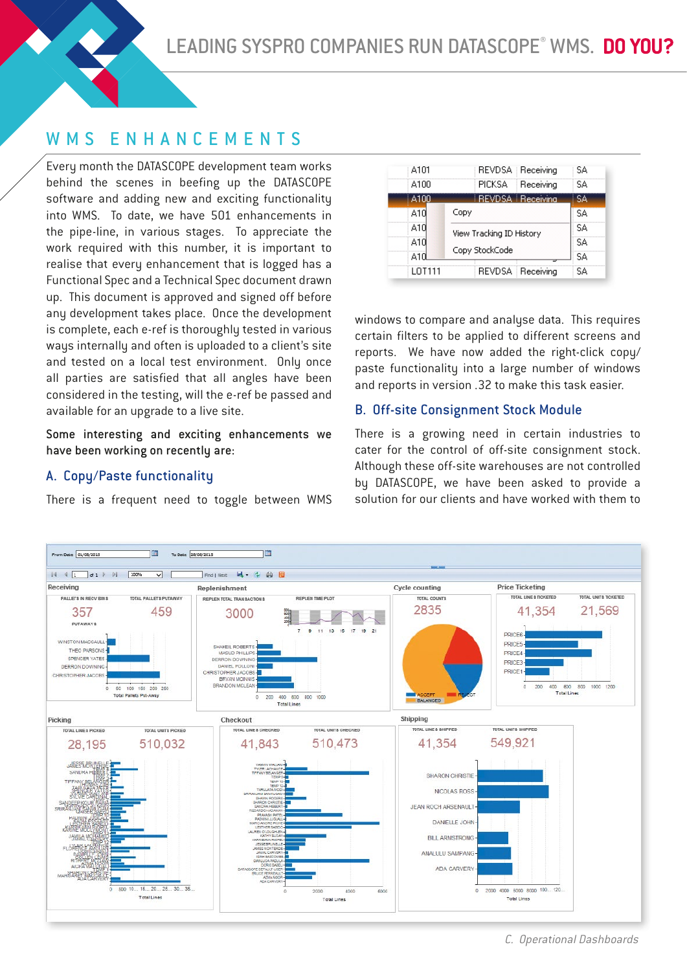LEADING SYSPRO COMPANIES RUN DATASCOPE® WMS. DO YOU?

### WMS ENHANCEMENTS

Every month the DATASCOPE development team works behind the scenes in beefing up the DATASCOPE software and adding new and exciting functionality into WMS. To date, we have 501 enhancements in the pipe-line, in various stages. To appreciate the work required with this number, it is important to realise that every enhancement that is logged has a Functional Spec and a Technical Spec document drawn up. This document is approved and signed off before any development takes place. Once the development is complete, each e-ref is thoroughly tested in various ways internally and often is uploaded to a client's site and tested on a local test environment. Only once all parties are satisfied that all angles have been considered in the testing, will the e-ref be passed and available for an upgrade to a live site.

Some interesting and exciting enhancements we have been working on recently are:

#### A. Copy/Paste functionality

There is a frequent need to toggle between WMS

| A101   | REVDSA Receiving           | SΑ  |
|--------|----------------------------|-----|
| A100   | <b>PICKSA</b><br>Receiving | SA  |
| A100   | <b>REVDSA</b> Receiving    | SA. |
| A10    | Copy                       | SA  |
| A10    | View Tracking ID History   | SΑ  |
| A1N    |                            | SΑ  |
| A10    | Copy StockCode             | SA  |
| LOT111 | REVDSA Receiving           | S۵  |

windows to compare and analyse data. This requires certain filters to be applied to different screens and reports. We have now added the right-click copy/ paste functionality into a large number of windows and reports in version .32 to make this task easier.

#### B. Off-site Consignment Stock Module

There is a growing need in certain industries to cater for the control of off-site consignment stock. Although these off-site warehouses are not controlled by DATASCOPE, we have been asked to provide a solution for our clients and have worked with them to

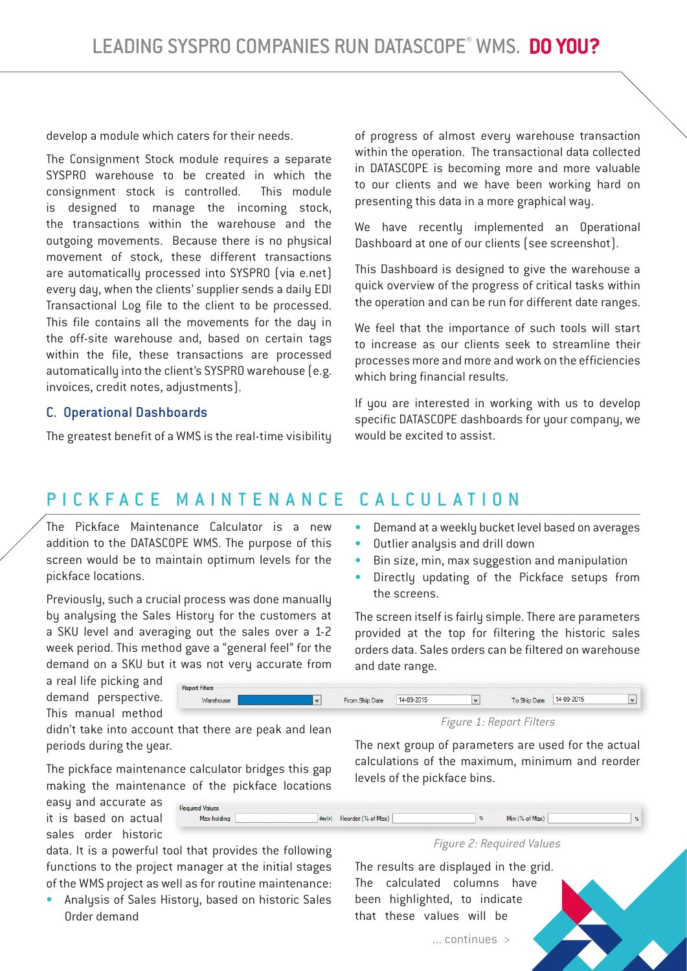develop a module which caters for their needs.

The Consignment Stock module requires a separate SYSPRO warehouse to be created in which the consignment stock is controlled. This module is designed to manage the incoming stock, the transactions within the warehouse and the outgoing movements. Because there is no physical movement of stock, these different transactions are automatically processed into SYSPRO (via e.net) every day, when the clients' supplier sends a daily EDI Transactional Log file to the client to be processed. This file contains all the movements for the day in the off-site warehouse and, based on certain tags within the file, these transactions are processed automatically into the client's SYSPRO warehouse (e.g. invoices, credit notes, adjustments).

#### C. Operational Dashboards

The greatest benefit of a WMS is the real-time visibility

of progress of almost every warehouse transaction within the operation. The transactional data collected in DATASCOPE is becoming more and more valuable to our clients and we have been working hard on presenting this data in a more graphical way.

We have recently implemented an Operational Dashboard at one of our clients (see screenshot).

This Dashboard is designed to give the warehouse a quick overview of the progress of critical tasks within the operation and can be run for different date ranges.

We feel that the importance of such tools will start to increase as our clients seek to streamline their processes more and more and work on the efficiencies which bring financial results.

If you are interested in working with us to develop specific DATASCOPE dashboards for your company, we would be excited to assist.

## PICKFACE MAINTENANCE CALCULATION

The Pickface Maintenance Calculator is a new addition to the DATASCOPE WMS. The purpose of this screen would be to maintain optimum levels for the pickface locations.

Previouslu, such a crucial process was done manually by analysing the Sales History for the customers at a SKU level and averaging out the sales over a 1-2 week period. This method gave a "general feel" for the demand on a SKU but it was not very accurate from

- Demand at a weekly bucket level based on averages
- Outlier analysis and drill down
- Bin size, min, max suggestion and manipulation
- Directly updating of the Pickface setups from the screens.

The screen itself is fairly simple. There are parameters provided at the top for filtering the historic sales orders data. Sales orders can be filtered on warehouse and date range.



didn't take into account that there are peak and lean periods during the year.

The pickface maintenance calculator bridges this gap making the maintenance of the pickface locations

easy and accurate as it is based on actual sales order historic

data. It is a powerful tool that provides the following functions to the project manager at the initial stages of the WMS project as well as for routine maintenance:

• Analysis of Sales History, based on historic Sales Order demand

Figure 1: Report Filters

The next group of parameters are used for the actual calculations of the maximum, minimum and reorder levels of the pickface bins.

| <b>Required Values</b> |                    |              |                |  |
|------------------------|--------------------|--------------|----------------|--|
| Max holding            | Reorder (% of Max) | $\mathbf{N}$ | Min (% of Max) |  |
|                        |                    |              |                |  |

Figure 2: Required Values

The results are displayed in the grid. The calculated columns have been highlighted, to indicate that these values will be

... continues >